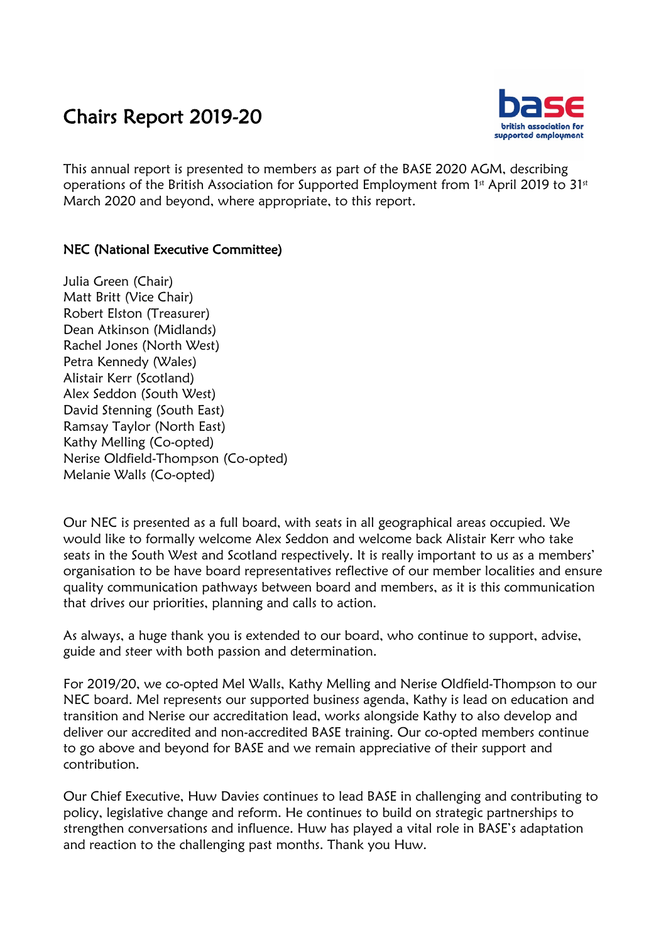## Chairs Report 2019-20



This annual report is presented to members as part of the BASE 2020 AGM, describing operations of the British Association for Supported Employment from 1st April 2019 to 31st March 2020 and beyond, where appropriate, to this report.

## NEC (National Executive Committee)

Julia Green (Chair) Matt Britt (Vice Chair) Robert Elston (Treasurer) Dean Atkinson (Midlands) Rachel Jones (North West) Petra Kennedy (Wales) Alistair Kerr (Scotland) Alex Seddon (South West) David Stenning (South East) Ramsay Taylor (North East) Kathy Melling (Co-opted) Nerise Oldfield-Thompson (Co-opted) Melanie Walls (Co-opted)

Our NEC is presented as a full board, with seats in all geographical areas occupied. We would like to formally welcome Alex Seddon and welcome back Alistair Kerr who take seats in the South West and Scotland respectively. It is really important to us as a members' organisation to be have board representatives reflective of our member localities and ensure quality communication pathways between board and members, as it is this communication that drives our priorities, planning and calls to action.

As always, a huge thank you is extended to our board, who continue to support, advise, guide and steer with both passion and determination.

For 2019/20, we co-opted Mel Walls, Kathy Melling and Nerise Oldfield-Thompson to our NEC board. Mel represents our supported business agenda, Kathy is lead on education and transition and Nerise our accreditation lead, works alongside Kathy to also develop and deliver our accredited and non-accredited BASE training. Our co-opted members continue to go above and beyond for BASE and we remain appreciative of their support and contribution.

Our Chief Executive, Huw Davies continues to lead BASE in challenging and contributing to policy, legislative change and reform. He continues to build on strategic partnerships to strengthen conversations and influence. Huw has played a vital role in BASE's adaptation and reaction to the challenging past months. Thank you Huw.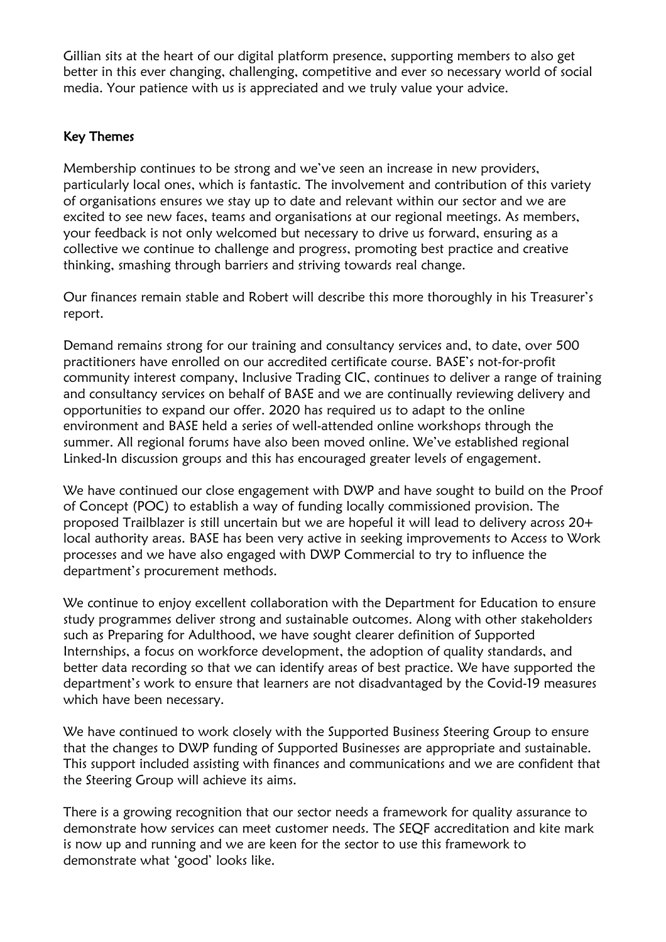Gillian sits at the heart of our digital platform presence, supporting members to also get better in this ever changing, challenging, competitive and ever so necessary world of social media. Your patience with us is appreciated and we truly value your advice.

## Key Themes

Membership continues to be strong and we've seen an increase in new providers, particularly local ones, which is fantastic. The involvement and contribution of this variety of organisations ensures we stay up to date and relevant within our sector and we are excited to see new faces, teams and organisations at our regional meetings. As members, your feedback is not only welcomed but necessary to drive us forward, ensuring as a collective we continue to challenge and progress, promoting best practice and creative thinking, smashing through barriers and striving towards real change.

Our finances remain stable and Robert will describe this more thoroughly in his Treasurer's report.

Demand remains strong for our training and consultancy services and, to date, over 500 practitioners have enrolled on our accredited certificate course. BASE's not-for-profit community interest company, Inclusive Trading CIC, continues to deliver a range of training and consultancy services on behalf of BASE and we are continually reviewing delivery and opportunities to expand our offer. 2020 has required us to adapt to the online environment and BASE held a series of well-attended online workshops through the summer. All regional forums have also been moved online. We've established regional Linked-In discussion groups and this has encouraged greater levels of engagement.

We have continued our close engagement with DWP and have sought to build on the Proof of Concept (POC) to establish a way of funding locally commissioned provision. The proposed Trailblazer is still uncertain but we are hopeful it will lead to delivery across 20+ local authority areas. BASE has been very active in seeking improvements to Access to Work processes and we have also engaged with DWP Commercial to try to influence the department's procurement methods.

We continue to enjoy excellent collaboration with the Department for Education to ensure study programmes deliver strong and sustainable outcomes. Along with other stakeholders such as Preparing for Adulthood, we have sought clearer definition of Supported Internships, a focus on workforce development, the adoption of quality standards, and better data recording so that we can identify areas of best practice. We have supported the department's work to ensure that learners are not disadvantaged by the Covid-19 measures which have been necessary.

We have continued to work closely with the Supported Business Steering Group to ensure that the changes to DWP funding of Supported Businesses are appropriate and sustainable. This support included assisting with finances and communications and we are confident that the Steering Group will achieve its aims.

There is a growing recognition that our sector needs a framework for quality assurance to demonstrate how services can meet customer needs. The SEQF accreditation and kite mark is now up and running and we are keen for the sector to use this framework to demonstrate what 'good' looks like.